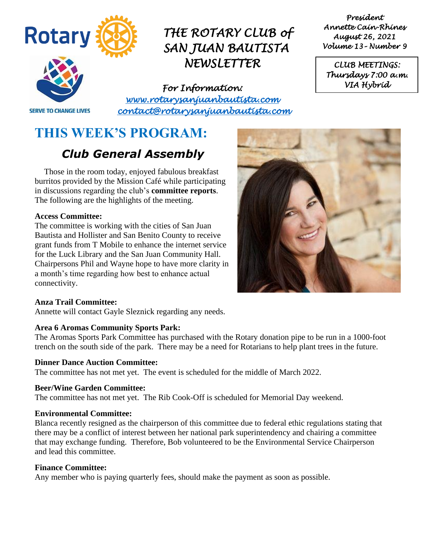

*President Annette Cain-Rhines August 26, 2021 Volume 13– Number 9* 

*CLUB MEETINGS: Thursdays 7:00 a.m. VIA Hybrid* 

**SERVE TO CHANGE LIVES** 

*For Information: [www.rotarysanjuanbautista.com](http://www.rotarysanjuanbautista.com/)  contact@rotarysanjuanbautista.com* 

# **THIS WEEK'S PROGRAM:**

# *Club General Assembly*

Those in the room today, enjoyed fabulous breakfast burritos provided by the Mission Café while participating in discussions regarding the club's **committee reports**. The following are the highlights of the meeting.

#### **Access Committee:**

The committee is working with the cities of San Juan Bautista and Hollister and San Benito County to receive grant funds from T Mobile to enhance the internet service for the Luck Library and the San Juan Community Hall. Chairpersons Phil and Wayne hope to have more clarity in a month's time regarding how best to enhance actual connectivity.



#### **Anza Trail Committee:**

Annette will contact Gayle Sleznick regarding any needs.

#### **Area 6 Aromas Community Sports Park:**

The Aromas Sports Park Committee has purchased with the Rotary donation pipe to be run in a 1000-foot trench on the south side of the park. There may be a need for Rotarians to help plant trees in the future.

#### **Dinner Dance Auction Committee:**

The committee has not met yet. The event is scheduled for the middle of March 2022.

#### **Beer/Wine Garden Committee:**

The committee has not met yet. The Rib Cook-Off is scheduled for Memorial Day weekend.

#### **Environmental Committee:**

Blanca recently resigned as the chairperson of this committee due to federal ethic regulations stating that there may be a conflict of interest between her national park superintendency and chairing a committee that may exchange funding. Therefore, Bob volunteered to be the Environmental Service Chairperson and lead this committee.

#### **Finance Committee:**

Any member who is paying quarterly fees, should make the payment as soon as possible.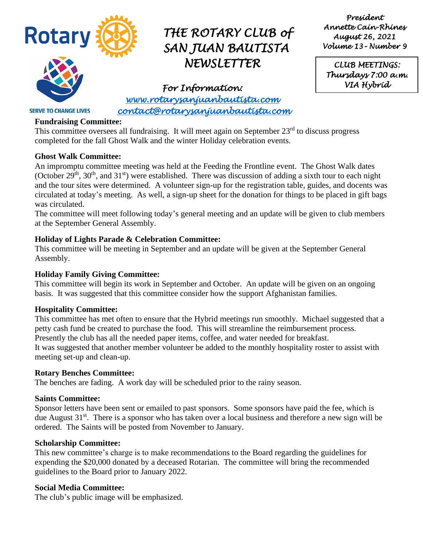

*President Annette Cain-Rhines August 26, 2021 Volume 13– Number 9* 

*CLUB MEETINGS: Thursdays 7:00 a.m. VIA Hybrid* 

*For Information: [www.rotarysanjuanbautista.com](http://www.rotarysanjuanbautista.com/)  contact@rotarysanjuanbautista.com* 

#### **Fundraising Committee:**

**SERVE TO CHANGE LIVES** 

This committee oversees all fundraising. It will meet again on September  $23<sup>rd</sup>$  to discuss progress completed for the fall Ghost Walk and the winter Holiday celebration events.

#### **Ghost Walk Committee:**

An impromptu committee meeting was held at the Feeding the Frontline event. The Ghost Walk dates (October  $29^{th}$ ,  $30^{th}$ , and  $31^{st}$ ) were established. There was discussion of adding a sixth tour to each night and the tour sites were determined. A volunteer sign-up for the registration table, guides, and docents was circulated at today's meeting. As well, a sign-up sheet for the donation for things to be placed in gift bags was circulated.

The committee will meet following today's general meeting and an update will be given to club members at the September General Assembly.

#### **Holiday of Lights Parade & Celebration Committee:**

This committee will be meeting in September and an update will be given at the September General Assembly.

#### **Holiday Family Giving Committee:**

This committee will begin its work in September and October. An update will be given on an ongoing basis. It was suggested that this committee consider how the support Afghanistan families.

#### **Hospitality Committee:**

This committee has met often to ensure that the Hybrid meetings run smoothly. Michael suggested that a petty cash fund be created to purchase the food. This will streamline the reimbursement process. Presently the club has all the needed paper items, coffee, and water needed for breakfast. It was suggested that another member volunteer be added to the monthly hospitality roster to assist with meeting set-up and clean-up.

#### **Rotary Benches Committee:**

The benches are fading. A work day will be scheduled prior to the rainy season.

#### **Saints Committee:**

Sponsor letters have been sent or emailed to past sponsors. Some sponsors have paid the fee, which is due August  $31<sup>st</sup>$ . There is a sponsor who has taken over a local business and therefore a new sign will be ordered. The Saints will be posted from November to January.

#### **Scholarship Committee:**

This new committee's charge is to make recommendations to the Board regarding the guidelines for expending the \$20,000 donated by a deceased Rotarian. The committee will bring the recommended guidelines to the Board prior to January 2022.

#### **Social Media Committee:**

The club's public image will be emphasized.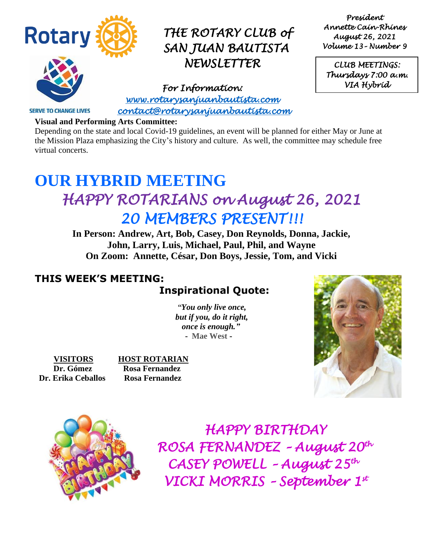

*President Annette Cain-Rhines August 26, 2021 Volume 13– Number 9* 

*CLUB MEETINGS: Thursdays 7:00 a.m. VIA Hybrid* 

**SERVE TO CHANGE LIVES** 

*For Information: [www.rotarysanjuanbautista.com](http://www.rotarysanjuanbautista.com/)  contact@rotarysanjuanbautista.com* 

#### **Visual and Performing Arts Committee:**

Depending on the state and local Covid-19 guidelines, an event will be planned for either May or June at the Mission Plaza emphasizing the City's history and culture. As well, the committee may schedule free virtual concerts.

# **OUR HYBRID MEETING**  *HAPPY ROTARIANS on August 26, 2021 20 MEMBERS PRESENT!!!*

**In Person: Andrew, Art, Bob, Casey, Don Reynolds, Donna, Jackie, John, Larry, Luis, Michael, Paul, Phil, and Wayne On Zoom: Annette, César, Don Boys, Jessie, Tom, and Vicki**

## **THIS WEEK'S MEETING:**

## **Inspirational Quote:**

 *"You only live once, but if you, do it right, once is enough."* **- Mae West -**

**VISITORS HOST ROTARIAN Dr. Erika Ceballos Rosa Fernandez**

 **Dr. Gómez Rosa Fernandez**





 *HAPPY BIRTHDAY ROSA FERNANDEZ – August 20th CASEY POWELL – August 25th VICKI MORRIS – September 1st*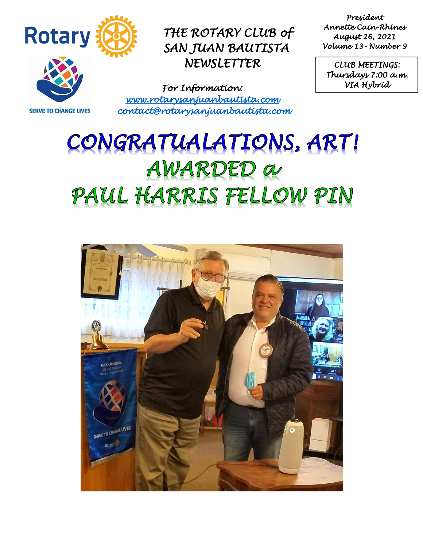

*President Annette Cain-Rhines August 26, 2021 Volume 13– Number 9* 

*CLUB MEETINGS: Thursdays 7:00 a.m. VIA Hybrid* 

**SERVE TO CHANGE LIVES** 

*For Information: [www.rotarysanjuanbautista.com](http://www.rotarysanjuanbautista.com/)  contact@rotarysanjuanbautista.com* 

# CONGRATUALATIONS, ART! AWARDED a PAUL HARRIS FELLOW PIN

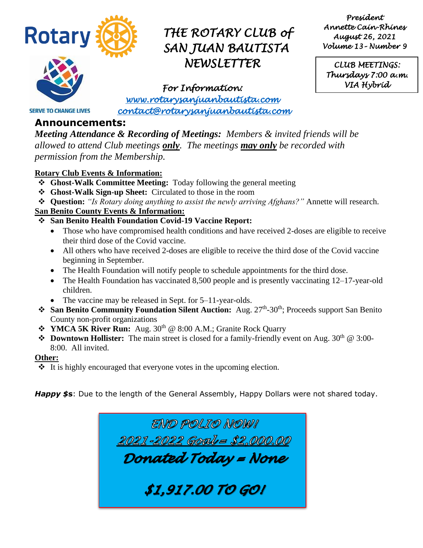

*President Annette Cain-Rhines August 26, 2021 Volume 13– Number 9* 

*CLUB MEETINGS: Thursdays 7:00 a.m. VIA Hybrid* 

*For Information: [www.rotarysanjuanbautista.com](http://www.rotarysanjuanbautista.com/)  contact@rotarysanjuanbautista.com* 

## **Announcements:**

**SERVE TO CHANGE LIVES** 

*Meeting Attendance & Recording of Meetings: Members & invited friends will be allowed to attend Club meetings only. The meetings may only be recorded with permission from the Membership.*

#### **Rotary Club Events & Information:**

- ❖ **Ghost-Walk Committee Meeting:** Today following the general meeting
- ❖ **Ghost-Walk Sign-up Sheet:** Circulated to those in the room
- ❖ **Question:** *"Is Rotary doing anything to assist the newly arriving Afghans?"* Annette will research.

### **San Benito County Events & Information:**

- ❖ **San Benito Health Foundation Covid-19 Vaccine Report:**
	- Those who have compromised health conditions and have received 2-doses are eligible to receive their third dose of the Covid vaccine.
	- All others who have received 2-doses are eligible to receive the third dose of the Covid vaccine beginning in September.
	- The Health Foundation will notify people to schedule appointments for the third dose.
	- The Health Foundation has vaccinated 8,500 people and is presently vaccinating 12–17-year-old children.
	- The vaccine may be released in Sept. for 5–11-year-olds.
- **❖** San Benito Community Foundation Silent Auction: Aug. 27<sup>th</sup>-30<sup>th</sup>; Proceeds support San Benito County non-profit organizations
- ❖ **YMCA 5K River Run:** Aug. 30th @ 8:00 A.M.; Granite Rock Quarry
- **❖** Downtown Hollister: The main street is closed for a family-friendly event on Aug. 30<sup>th</sup> @ 3:00-8:00. All invited.

#### **Other:**

❖ It is highly encouraged that everyone votes in the upcoming election.

*Happy \$***s**: Due to the length of the General Assembly, Happy Dollars were not shared today.

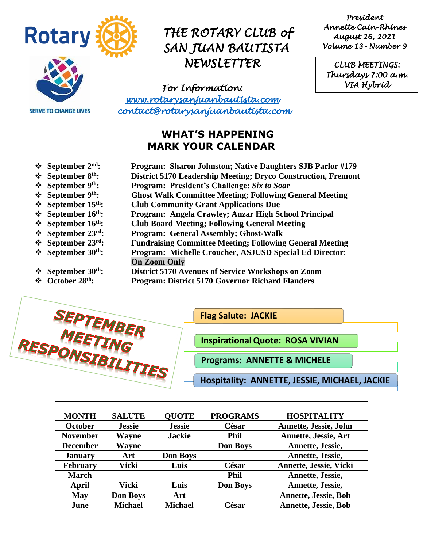

**SERVE TO CHANGE LIVES** 

## *THE ROTARY CLUB of SAN JUAN BAUTISTA NEWSLETTER*

*President Annette Cain-Rhines August 26, 2021 Volume 13– Number 9* 

*CLUB MEETINGS: Thursdays 7:00 a.m. VIA Hybrid* 

*For Information: [www.rotarysanjuanbautista.com](http://www.rotarysanjuanbautista.com/)  contact@rotarysanjuanbautista.com* 

## **WHAT'S HAPPENING MARK YOUR CALENDAR**

❖ **September 2nd: Program: Sharon Johnston; Native Daughters SJB Parlor #179** ❖ **September 8th: District 5170 Leadership Meeting; Dryco Construction, Fremont** ❖ **September 9th: Program: President's Challenge:** *Six to Soar* ❖ **September 9th: Ghost Walk Committee Meeting; Following General Meeting** ❖ **September 15th: Club Community Grant Applications Due** ❖ **September 16th: Program: Angela Crawley; Anzar High School Principal** ❖ **September 16th: Club Board Meeting; Following General Meeting** ❖ **September 23 rd: Program: General Assembly; Ghost-Walk** ❖ **September 23rd: Fundraising Committee Meeting; Following General Meeting** ❖ **September 30th: Program: Michelle Croucher, ASJUSD Special Ed Director**: **On Zoom Only** ❖ **September 30th: District 5170 Avenues of Service Workshops on Zoom** ❖ **October 28th: Program: District 5170 Governor Richard Flanders**



**Flag Salute: JACKIE** 

**InspirationalQuote: ROSA VIVIAN**

**Programs: ANNETTE & MICHELE**

**Hospitality: ANNETTE, JESSIE, MICHAEL, JACKIE**

| <b>MONTH</b>    | <b>SALUTE</b>   | <b>OUOTE</b>    | <b>PROGRAMS</b> | <b>HOSPITALITY</b>          |
|-----------------|-----------------|-----------------|-----------------|-----------------------------|
| <b>October</b>  | <b>Jessie</b>   | <b>Jessie</b>   | César           | Annette, Jessie, John       |
| <b>November</b> | Wayne           | <b>Jackie</b>   | <b>Phil</b>     | <b>Annette, Jessie, Art</b> |
| <b>December</b> | Wayne           |                 | <b>Don Boys</b> | Annette, Jessie,            |
| <b>January</b>  | Art             | <b>Don Boys</b> |                 | Annette, Jessie,            |
| <b>February</b> | Vicki           | Luis            | César           | Annette, Jessie, Vicki      |
| <b>March</b>    |                 |                 | <b>Phil</b>     | Annette, Jessie,            |
| April           | Vicki           | Luis            | <b>Don Boys</b> | Annette, Jessie,            |
| <b>May</b>      | <b>Don Boys</b> | Art             |                 | <b>Annette, Jessie, Bob</b> |
| June            | <b>Michael</b>  | <b>Michael</b>  | César           | <b>Annette, Jessie, Bob</b> |